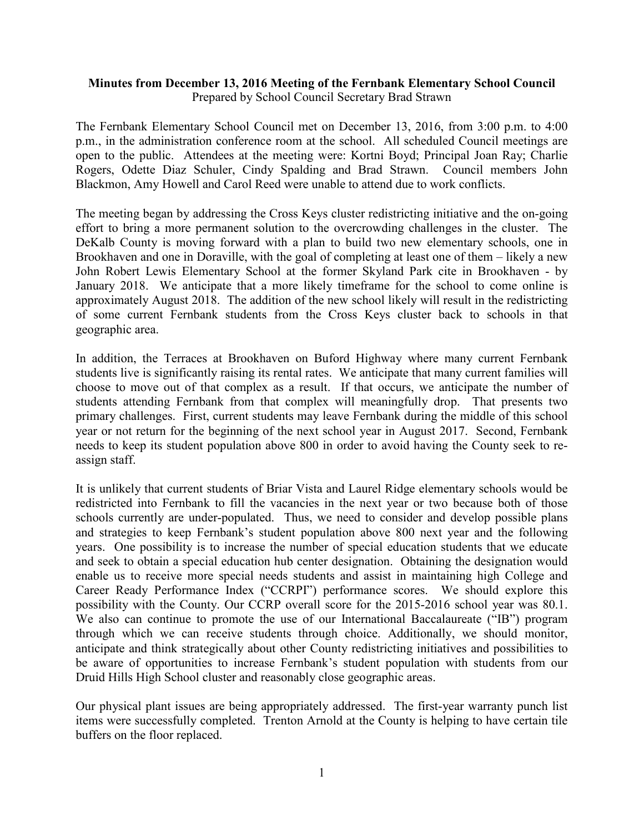## **Minutes from December 13, 2016 Meeting of the Fernbank Elementary School Council** Prepared by School Council Secretary Brad Strawn

The Fernbank Elementary School Council met on December 13, 2016, from 3:00 p.m. to 4:00 p.m., in the administration conference room at the school. All scheduled Council meetings are open to the public. Attendees at the meeting were: Kortni Boyd; Principal Joan Ray; Charlie Rogers, Odette Diaz Schuler, Cindy Spalding and Brad Strawn. Council members John Blackmon, Amy Howell and Carol Reed were unable to attend due to work conflicts.

The meeting began by addressing the Cross Keys cluster redistricting initiative and the on-going effort to bring a more permanent solution to the overcrowding challenges in the cluster. The DeKalb County is moving forward with a plan to build two new elementary schools, one in Brookhaven and one in Doraville, with the goal of completing at least one of them – likely a new John Robert Lewis Elementary School at the former Skyland Park cite in Brookhaven - by January 2018. We anticipate that a more likely timeframe for the school to come online is approximately August 2018. The addition of the new school likely will result in the redistricting of some current Fernbank students from the Cross Keys cluster back to schools in that geographic area.

In addition, the Terraces at Brookhaven on Buford Highway where many current Fernbank students live is significantly raising its rental rates. We anticipate that many current families will choose to move out of that complex as a result. If that occurs, we anticipate the number of students attending Fernbank from that complex will meaningfully drop. That presents two primary challenges. First, current students may leave Fernbank during the middle of this school year or not return for the beginning of the next school year in August 2017. Second, Fernbank needs to keep its student population above 800 in order to avoid having the County seek to reassign staff.

It is unlikely that current students of Briar Vista and Laurel Ridge elementary schools would be redistricted into Fernbank to fill the vacancies in the next year or two because both of those schools currently are under-populated. Thus, we need to consider and develop possible plans and strategies to keep Fernbank's student population above 800 next year and the following years. One possibility is to increase the number of special education students that we educate and seek to obtain a special education hub center designation. Obtaining the designation would enable us to receive more special needs students and assist in maintaining high College and Career Ready Performance Index ("CCRPI") performance scores. We should explore this possibility with the County. Our CCRP overall score for the 2015-2016 school year was 80.1. We also can continue to promote the use of our International Baccalaureate ("IB") program through which we can receive students through choice. Additionally, we should monitor, anticipate and think strategically about other County redistricting initiatives and possibilities to be aware of opportunities to increase Fernbank's student population with students from our Druid Hills High School cluster and reasonably close geographic areas.

Our physical plant issues are being appropriately addressed. The first-year warranty punch list items were successfully completed. Trenton Arnold at the County is helping to have certain tile buffers on the floor replaced.